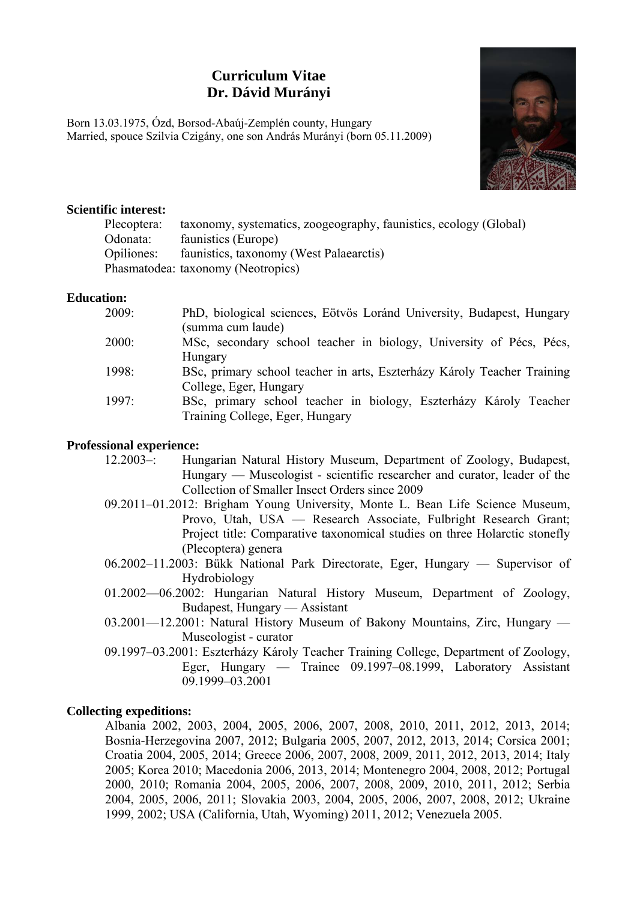## **Curriculum Vitae Dr. Dávid Murányi**

Born 13.03.1975, Ózd, Borsod-Abaúj-Zemplén county, Hungary Married, spouce Szilvia Czigány, one son András Murányi (born 05.11.2009)



#### **Scientific interest:**

| Plecoptera: | taxonomy, systematics, zoogeography, faunistics, ecology (Global) |
|-------------|-------------------------------------------------------------------|
| Odonata:    | faunistics (Europe)                                               |
| Opiliones:  | faunistics, taxonomy (West Palaearctis)                           |
|             | Phasmatodea: taxonomy (Neotropics)                                |

#### **Education:**

| 2009: | PhD, biological sciences, Eötvös Loránd University, Budapest, Hungary   |
|-------|-------------------------------------------------------------------------|
|       | (summa cum laude)                                                       |
| 2000: | MSc, secondary school teacher in biology, University of Pécs, Pécs,     |
|       | Hungary                                                                 |
| 1998: | BSc, primary school teacher in arts, Eszterházy Károly Teacher Training |
|       | College, Eger, Hungary                                                  |
| 1997: | BSc, primary school teacher in biology, Eszterházy Károly Teacher       |
|       | Training College, Eger, Hungary                                         |
|       |                                                                         |

#### **Professional experience:**

- 12.2003–: Hungarian Natural History Museum, Department of Zoology, Budapest, Hungary — Museologist - scientific researcher and curator, leader of the Collection of Smaller Insect Orders since 2009
- 09.2011–01.2012: Brigham Young University, Monte L. Bean Life Science Museum, Provo, Utah, USA — Research Associate, Fulbright Research Grant; Project title: Comparative taxonomical studies on three Holarctic stonefly (Plecoptera) genera
- 06.2002–11.2003: Bükk National Park Directorate, Eger, Hungary Supervisor of Hydrobiology
- 01.2002—06.2002: Hungarian Natural History Museum, Department of Zoology, Budapest, Hungary — Assistant
- 03.2001—12.2001: Natural History Museum of Bakony Mountains, Zirc, Hungary Museologist - curator
- 09.1997–03.2001: Eszterházy Károly Teacher Training College, Department of Zoology, Eger, Hungary — Trainee 09.1997–08.1999, Laboratory Assistant 09.1999–03.2001

#### **Collecting expeditions:**

Albania 2002, 2003, 2004, 2005, 2006, 2007, 2008, 2010, 2011, 2012, 2013, 2014; Bosnia-Herzegovina 2007, 2012; Bulgaria 2005, 2007, 2012, 2013, 2014; Corsica 2001; Croatia 2004, 2005, 2014; Greece 2006, 2007, 2008, 2009, 2011, 2012, 2013, 2014; Italy 2005; Korea 2010; Macedonia 2006, 2013, 2014; Montenegro 2004, 2008, 2012; Portugal 2000, 2010; Romania 2004, 2005, 2006, 2007, 2008, 2009, 2010, 2011, 2012; Serbia 2004, 2005, 2006, 2011; Slovakia 2003, 2004, 2005, 2006, 2007, 2008, 2012; Ukraine 1999, 2002; USA (California, Utah, Wyoming) 2011, 2012; Venezuela 2005.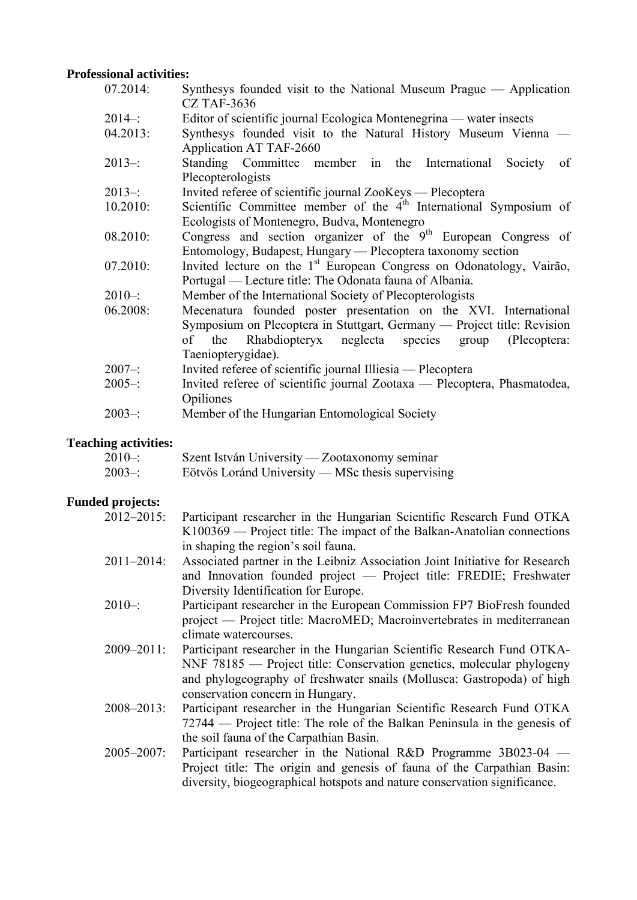#### **Professional activities:**

| 07.2014:   | Synthesys founded visit to the National Museum Prague — Application              |
|------------|----------------------------------------------------------------------------------|
|            | <b>CZ TAF-3636</b>                                                               |
| $2014 -$ : | Editor of scientific journal Ecologica Montenegrina — water insects              |
| 04.2013:   | Synthesys founded visit to the Natural History Museum Vienna -                   |
|            | Application AT TAF-2660                                                          |
| $2013 -$   | Standing Committee member in the International<br>Society<br>of                  |
|            | Plecopterologists                                                                |
| $2013 -$   | Invited referee of scientific journal ZooKeys — Plecoptera                       |
| 10.2010:   | Scientific Committee member of the 4 <sup>th</sup> International Symposium of    |
|            | Ecologists of Montenegro, Budva, Montenegro                                      |
| 08.2010:   | Congress and section organizer of the $9th$ European Congress of                 |
|            | Entomology, Budapest, Hungary — Plecoptera taxonomy section                      |
| 07.2010:   | Invited lecture on the 1 <sup>st</sup> European Congress on Odonatology, Vairão, |
|            | Portugal — Lecture title: The Odonata fauna of Albania.                          |
| $2010 -$   | Member of the International Society of Plecopterologists                         |
| 06.2008:   | Mecenatura founded poster presentation on the XVI. International                 |
|            | Symposium on Plecoptera in Stuttgart, Germany — Project title: Revision          |
|            | Rhabdiopteryx neglecta species group (Plecoptera:<br>of the                      |
|            | Taeniopterygidae).                                                               |
| $2007 -$   | Invited referee of scientific journal Illiesia — Plecoptera                      |
| $2005 -$ : | Invited referee of scientific journal Zootaxa — Plecoptera, Phasmatodea,         |
|            | Opiliones                                                                        |
| $2003 -$   | Member of the Hungarian Entomological Society                                    |
|            |                                                                                  |

### **Teaching activities:**

| ____<br>$2010 -$ : | Szent István University — Zootaxonomy seminar     |
|--------------------|---------------------------------------------------|
| $2003 -$           | Eötvös Loránd University — MSc thesis supervising |

# **Funded projects:**

| 2012-2015:      | Participant researcher in the Hungarian Scientific Research Fund OTKA       |
|-----------------|-----------------------------------------------------------------------------|
|                 | K100369 — Project title: The impact of the Balkan-Anatolian connections     |
|                 | in shaping the region's soil fauna.                                         |
| $2011 - 2014$ : | Associated partner in the Leibniz Association Joint Initiative for Research |
|                 | and Innovation founded project — Project title: FREDIE; Freshwater          |
|                 | Diversity Identification for Europe.                                        |
| $2010 -$ :      | Participant researcher in the European Commission FP7 BioFresh founded      |
|                 | project — Project title: MacroMED; Macroinvertebrates in mediterranean      |
|                 | climate watercourses.                                                       |
| $2009 - 2011$ : | Participant researcher in the Hungarian Scientific Research Fund OTKA-      |
|                 | NNF 78185 — Project title: Conservation genetics, molecular phylogeny       |
|                 | and phylogeography of freshwater snails (Mollusca: Gastropoda) of high      |
|                 | conservation concern in Hungary.                                            |
| $2008 - 2013$ : | Participant researcher in the Hungarian Scientific Research Fund OTKA       |
|                 | 72744 — Project title: The role of the Balkan Peninsula in the genesis of   |
|                 | the soil fauna of the Carpathian Basin.                                     |
| $2005 - 2007$ : | Participant researcher in the National R&D Programme $3B023-04$ —           |
|                 | Project title: The origin and genesis of fauna of the Carpathian Basin:     |
|                 | diversity, biogeographical hotspots and nature conservation significance.   |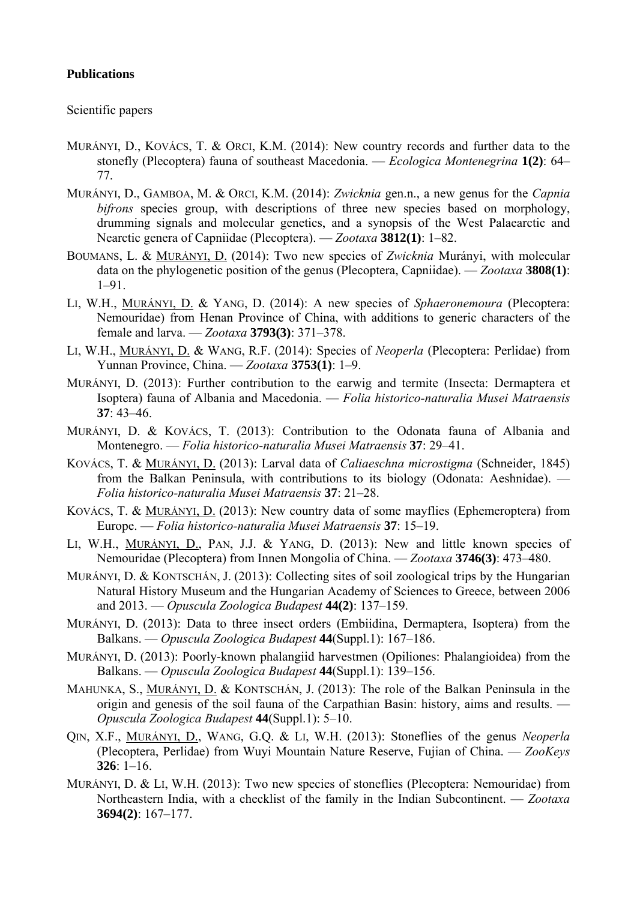#### **Publications**

Scientific papers

- MURÁNYI, D., KOVÁCS, T. & ORCI, K.M. (2014): New country records and further data to the stonefly (Plecoptera) fauna of southeast Macedonia. — *Ecologica Montenegrina* **1(2)**: 64– 77.
- MURÁNYI, D., GAMBOA, M. & ORCI, K.M. (2014): *Zwicknia* gen.n., a new genus for the *Capnia bifrons* species group, with descriptions of three new species based on morphology, drumming signals and molecular genetics, and a synopsis of the West Palaearctic and Nearctic genera of Capniidae (Plecoptera). — *Zootaxa* **3812(1)**: 1–82.
- BOUMANS, L. & MURÁNYI, D. (2014): Two new species of *Zwicknia* Murányi, with molecular data on the phylogenetic position of the genus (Plecoptera, Capniidae). — *Zootaxa* **3808(1)**: 1–91.
- LI, W.H., MURÁNYI, D. & YANG, D. (2014): A new species of *Sphaeronemoura* (Plecoptera: Nemouridae) from Henan Province of China, with additions to generic characters of the female and larva. — *Zootaxa* **3793(3)**: 371–378.
- LI, W.H., MURÁNYI, D. & WANG, R.F. (2014): Species of *Neoperla* (Plecoptera: Perlidae) from Yunnan Province, China. — *Zootaxa* **3753(1)**: 1–9.
- MURÁNYI, D. (2013): Further contribution to the earwig and termite (Insecta: Dermaptera et Isoptera) fauna of Albania and Macedonia. — *Folia historico-naturalia Musei Matraensis*  **37**: 43–46.
- MURÁNYI, D. & KOVÁCS, T. (2013): Contribution to the Odonata fauna of Albania and Montenegro. — *Folia historico-naturalia Musei Matraensis* **37**: 29–41.
- KOVÁCS, T. & MURÁNYI, D. (2013): Larval data of *Caliaeschna microstigma* (Schneider, 1845) from the Balkan Peninsula, with contributions to its biology (Odonata: Aeshnidae). — *Folia historico-naturalia Musei Matraensis* **37**: 21–28.
- KOVÁCS, T. & MURÁNYI, D. (2013): New country data of some mayflies (Ephemeroptera) from Europe. — *Folia historico-naturalia Musei Matraensis* **37**: 15–19.
- LI, W.H., MURÁNYI, D., PAN, J.J. & YANG, D. (2013): New and little known species of Nemouridae (Plecoptera) from Innen Mongolia of China. — *Zootaxa* **3746(3)**: 473–480.
- MURÁNYI, D. & KONTSCHÁN, J. (2013): Collecting sites of soil zoological trips by the Hungarian Natural History Museum and the Hungarian Academy of Sciences to Greece, between 2006 and 2013. — *Opuscula Zoologica Budapest* **44(2)**: 137–159.
- MURÁNYI, D. (2013): Data to three insect orders (Embiidina, Dermaptera, Isoptera) from the Balkans. — *Opuscula Zoologica Budapest* **44**(Suppl.1): 167–186.
- MURÁNYI, D. (2013): Poorly-known phalangiid harvestmen (Opiliones: Phalangioidea) from the Balkans. — *Opuscula Zoologica Budapest* **44**(Suppl.1): 139–156.
- MAHUNKA, S., MURÁNYI, D. & KONTSCHÁN, J. (2013): The role of the Balkan Peninsula in the origin and genesis of the soil fauna of the Carpathian Basin: history, aims and results. — *Opuscula Zoologica Budapest* **44**(Suppl.1): 5–10.
- QIN, X.F., MURÁNYI, D., WANG, G.Q. & LI, W.H. (2013): Stoneflies of the genus *Neoperla* (Plecoptera, Perlidae) from Wuyi Mountain Nature Reserve, Fujian of China. — *ZooKeys*  **326**: 1–16.
- MURÁNYI, D. & LI, W.H. (2013): Two new species of stoneflies (Plecoptera: Nemouridae) from Northeastern India, with a checklist of the family in the Indian Subcontinent. — *Zootaxa*  **3694(2)**: 167–177.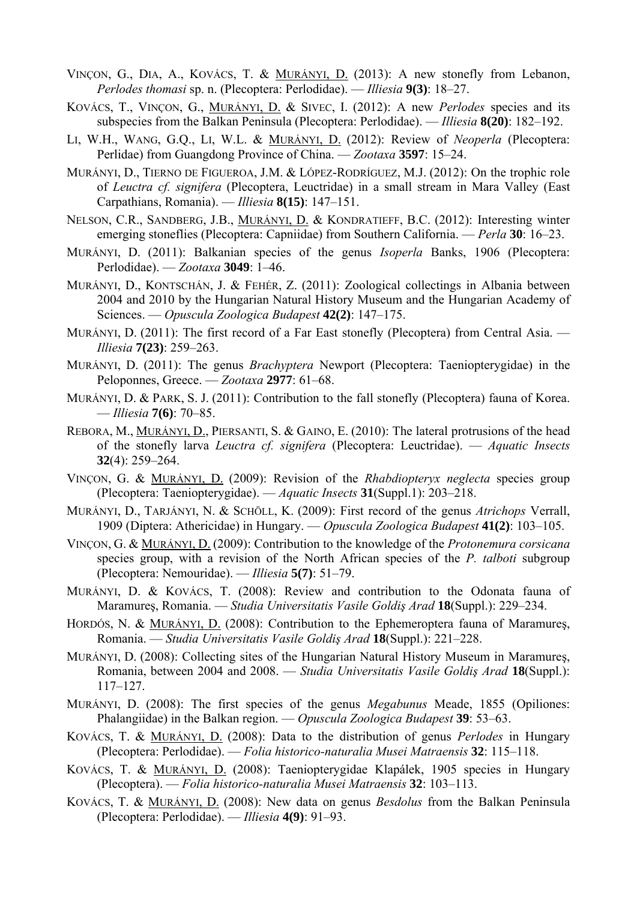- VINÇON, G., DIA, A., KOVÁCS, T. & MURÁNYI, D. (2013): A new stonefly from Lebanon, *Perlodes thomasi* sp. n. (Plecoptera: Perlodidae). — *Illiesia* **9(3)**: 18–27.
- KOVÁCS, T., VINÇON, G., MURÁNYI, D. & SIVEC, I. (2012): A new *Perlodes* species and its subspecies from the Balkan Peninsula (Plecoptera: Perlodidae). — *Illiesia* **8(20)**: 182–192.
- LI, W.H., WANG, G.Q., LI, W.L. & MURÁNYI, D. (2012): Review of *Neoperla* (Plecoptera: Perlidae) from Guangdong Province of China. — *Zootaxa* **3597**: 15–24.
- MURÁNYI, D., TIERNO DE FIGUEROA, J.M. & LÓPEZ-RODRÍGUEZ, M.J. (2012): On the trophic role of *Leuctra cf. signifera* (Plecoptera, Leuctridae) in a small stream in Mara Valley (East Carpathians, Romania). — *Illiesia* **8(15)**: 147–151.
- NELSON, C.R., SANDBERG, J.B., MURÁNYI, D. & KONDRATIEFF, B.C. (2012): Interesting winter emerging stoneflies (Plecoptera: Capniidae) from Southern California. — *Perla* **30**: 16–23.
- MURÁNYI, D. (2011): Balkanian species of the genus *Isoperla* Banks, 1906 (Plecoptera: Perlodidae). — *Zootaxa* **3049**: 1–46.
- MURÁNYI, D., KONTSCHÁN, J. & FEHÉR, Z. (2011): Zoological collectings in Albania between 2004 and 2010 by the Hungarian Natural History Museum and the Hungarian Academy of Sciences. — *Opuscula Zoologica Budapest* **42(2)**: 147–175.
- MURÁNYI, D. (2011): The first record of a Far East stonefly (Plecoptera) from Central Asia. *Illiesia* **7(23)**: 259–263.
- MURÁNYI, D. (2011): The genus *Brachyptera* Newport (Plecoptera: Taeniopterygidae) in the Peloponnes, Greece. — *Zootaxa* **2977**: 61–68.
- MURÁNYI, D. & PARK, S. J. (2011): Contribution to the fall stonefly (Plecoptera) fauna of Korea. — *Illiesia* **7(6)**: 70–85.
- REBORA, M., MURÁNYI, D., PIERSANTI, S. & GAINO, E. (2010): The lateral protrusions of the head of the stonefly larva *Leuctra cf. signifera* (Plecoptera: Leuctridae). — *Aquatic Insects*  **32**(4): 259–264.
- VINÇON, G. & MURÁNYI, D. (2009): Revision of the *Rhabdiopteryx neglecta* species group (Plecoptera: Taeniopterygidae). — *Aquatic Insects* **31**(Suppl.1): 203–218.
- MURÁNYI, D., TARJÁNYI, N. & SCHÖLL, K. (2009): First record of the genus *Atrichops* Verrall, 1909 (Diptera: Athericidae) in Hungary. — *Opuscula Zoologica Budapest* **41(2)**: 103–105.
- VINÇON, G. & MURÁNYI, D. (2009): Contribution to the knowledge of the *Protonemura corsicana* species group, with a revision of the North African species of the *P. talboti* subgroup (Plecoptera: Nemouridae). — *Illiesia* **5(7)**: 51–79.
- MURÁNYI, D. & KOVÁCS, T. (2008): Review and contribution to the Odonata fauna of Maramureş, Romania. — *Studia Universitatis Vasile Goldiş Arad* **18**(Suppl.): 229–234.
- HORDÓS, N. & MURÁNYI, D. (2008): Contribution to the Ephemeroptera fauna of Maramureş, Romania. — *Studia Universitatis Vasile Goldiş Arad* **18**(Suppl.): 221–228.
- MURÁNYI, D. (2008): Collecting sites of the Hungarian Natural History Museum in Maramureş, Romania, between 2004 and 2008. — *Studia Universitatis Vasile Goldiş Arad* **18**(Suppl.): 117–127.
- MURÁNYI, D. (2008): The first species of the genus *Megabunus* Meade, 1855 (Opiliones: Phalangiidae) in the Balkan region. — *Opuscula Zoologica Budapest* **39**: 53–63.
- KOVÁCS, T. & MURÁNYI, D. (2008): Data to the distribution of genus *Perlodes* in Hungary (Plecoptera: Perlodidae). — *Folia historico-naturalia Musei Matraensis* **32**: 115–118.
- KOVÁCS, T. & MURÁNYI, D. (2008): Taeniopterygidae Klapálek, 1905 species in Hungary (Plecoptera). — *Folia historico-naturalia Musei Matraensis* **32**: 103–113.
- KOVÁCS, T. & MURÁNYI, D. (2008): New data on genus *Besdolus* from the Balkan Peninsula (Plecoptera: Perlodidae). — *Illiesia* **4(9)**: 91–93.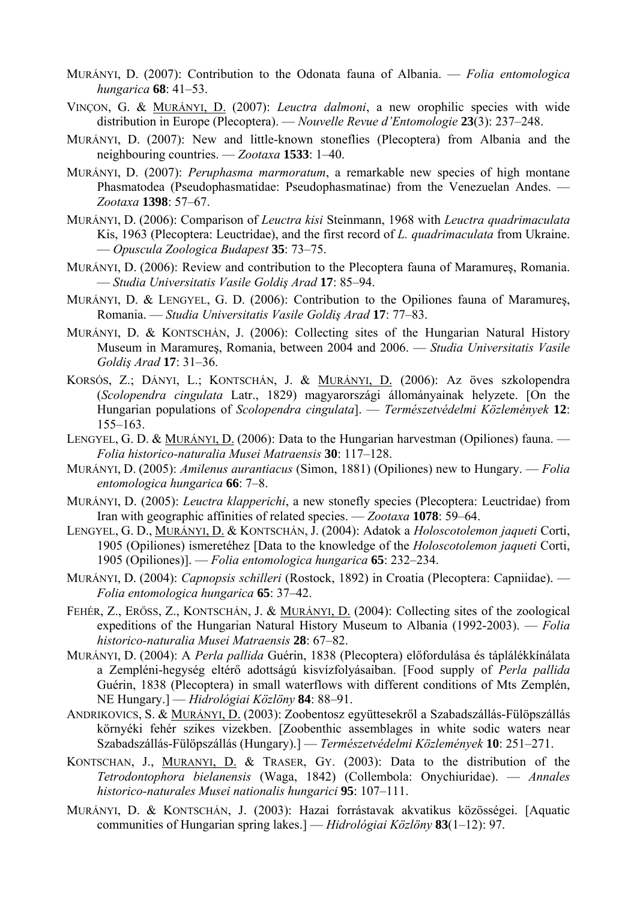- MURÁNYI, D. (2007): Contribution to the Odonata fauna of Albania. *Folia entomologica hungarica* **68**: 41–53.
- VINÇON, G. & MURÁNYI, D. (2007): *Leuctra dalmoni*, a new orophilic species with wide distribution in Europe (Plecoptera). — *Nouvelle Revue d'Entomologie* **23**(3): 237–248.
- MURÁNYI, D. (2007): New and little-known stoneflies (Plecoptera) from Albania and the neighbouring countries. — *Zootaxa* **1533**: 1–40.
- MURÁNYI, D. (2007): *Peruphasma marmoratum*, a remarkable new species of high montane Phasmatodea (Pseudophasmatidae: Pseudophasmatinae) from the Venezuelan Andes. — *Zootaxa* **1398**: 57–67.
- MURÁNYI, D. (2006): Comparison of *Leuctra kisi* Steinmann, 1968 with *Leuctra quadrimaculata* Kis, 1963 (Plecoptera: Leuctridae), and the first record of *L. quadrimaculata* from Ukraine. — *Opuscula Zoologica Budapest* **35**: 73–75.
- MURÁNYI, D. (2006): Review and contribution to the Plecoptera fauna of Maramureş, Romania. — *Studia Universitatis Vasile Goldiş Arad* **17**: 85–94.
- MURÁNYI, D. & LENGYEL, G. D. (2006): Contribution to the Opiliones fauna of Maramureş, Romania. — *Studia Universitatis Vasile Goldiş Arad* **17**: 77–83.
- MURÁNYI, D. & KONTSCHÁN, J. (2006): Collecting sites of the Hungarian Natural History Museum in Maramureş, Romania, between 2004 and 2006. — *Studia Universitatis Vasile Goldiş Arad* **17**: 31–36.
- KORSÓS, Z.; DÁNYI, L.; KONTSCHÁN, J. & MURÁNYI, D. (2006): Az öves szkolopendra (*Scolopendra cingulata* Latr., 1829) magyarországi állományainak helyzete. [On the Hungarian populations of *Scolopendra cingulata*]. — *Természetvédelmi Közlemények* **12**: 155–163.
- LENGYEL, G. D. & MURÁNYI, D. (2006): Data to the Hungarian harvestman (Opiliones) fauna. *Folia historico-naturalia Musei Matraensis* **30**: 117–128.
- MURÁNYI, D. (2005): *Amilenus aurantiacus* (Simon, 1881) (Opiliones) new to Hungary. *Folia entomologica hungarica* **66**: 7–8.
- MURÁNYI, D. (2005): *Leuctra klapperichi*, a new stonefly species (Plecoptera: Leuctridae) from Iran with geographic affinities of related species. — *Zootaxa* **1078**: 59–64.
- LENGYEL, G. D., MURÁNYI, D. & KONTSCHÁN, J. (2004): Adatok a *Holoscotolemon jaqueti* Corti, 1905 (Opiliones) ismeretéhez [Data to the knowledge of the *Holoscotolemon jaqueti* Corti, 1905 (Opiliones)]. — *Folia entomologica hungarica* **65**: 232–234.
- MURÁNYI, D. (2004): *Capnopsis schilleri* (Rostock, 1892) in Croatia (Plecoptera: Capniidae). *Folia entomologica hungarica* **65**: 37–42.
- FEHÉR, Z., ERŐSS, Z., KONTSCHÁN, J. & MURÁNYI, D. (2004): Collecting sites of the zoological expeditions of the Hungarian Natural History Museum to Albania (1992-2003). — *Folia historico-naturalia Musei Matraensis* **28**: 67–82.
- MURÁNYI, D. (2004): A *Perla pallida* Guérin, 1838 (Plecoptera) előfordulása és táplálékkínálata a Zempléni-hegység eltérő adottságú kisvízfolyásaiban. [Food supply of *Perla pallida* Guérin, 1838 (Plecoptera) in small waterflows with different conditions of Mts Zemplén, NE Hungary.] — *Hidrológiai Közlöny* **84**: 88–91.
- ANDRIKOVICS, S. & MURÁNYI, D. (2003): Zoobentosz együttesekről a Szabadszállás-Fülöpszállás környéki fehér szikes vizekben. [Zoobenthic assemblages in white sodic waters near Szabadszállás-Fülöpszállás (Hungary).] — *Természetvédelmi Közlemények* **10**: 251–271.
- KONTSCHAN, J., MURANYI, D. & TRASER, GY. (2003): Data to the distribution of the *Tetrodontophora bielanensis* (Waga, 1842) (Collembola: Onychiuridae). — *Annales historico-naturales Musei nationalis hungarici* **95**: 107–111.
- MURÁNYI, D. & KONTSCHÁN, J. (2003): Hazai forrástavak akvatikus közösségei. [Aquatic communities of Hungarian spring lakes.] — *Hidrológiai Közlöny* **83**(1–12): 97.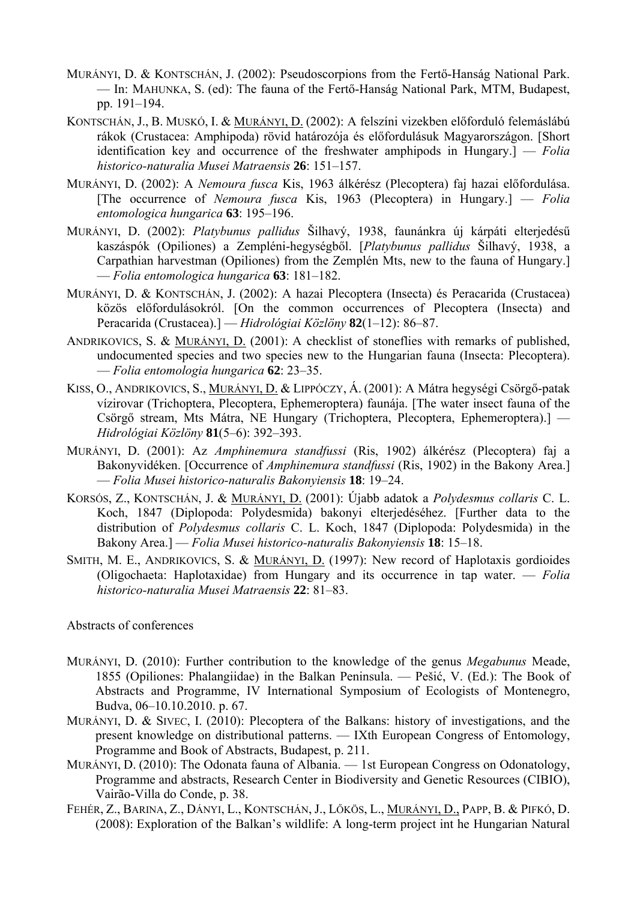- MURÁNYI, D. & KONTSCHÁN, J. (2002): Pseudoscorpions from the Fertő-Hanság National Park. — In: MAHUNKA, S. (ed): The fauna of the Fertő-Hanság National Park, MTM, Budapest, pp. 191–194.
- KONTSCHÁN, J., B. MUSKÓ, I. & MURÁNYI, D. (2002): A felszíni vizekben előforduló felemáslábú rákok (Crustacea: Amphipoda) rövid határozója és előfordulásuk Magyarországon. [Short identification key and occurrence of the freshwater amphipods in Hungary.] — *Folia historico-naturalia Musei Matraensis* **26**: 151–157.
- MURÁNYI, D. (2002): A *Nemoura fusca* Kis, 1963 álkérész (Plecoptera) faj hazai előfordulása. [The occurrence of *Nemoura fusca* Kis, 1963 (Plecoptera) in Hungary.] — *Folia entomologica hungarica* **63**: 195–196.
- MURÁNYI, D. (2002): *Platybunus pallidus* Šilhavý, 1938, faunánkra új kárpáti elterjedésű kaszáspók (Opiliones) a Zempléni-hegységből. [*Platybunus pallidus* Šilhavý, 1938, a Carpathian harvestman (Opiliones) from the Zemplén Mts, new to the fauna of Hungary.] — *Folia entomologica hungarica* **63**: 181–182.
- MURÁNYI, D. & KONTSCHÁN, J. (2002): A hazai Plecoptera (Insecta) és Peracarida (Crustacea) közös előfordulásokról. [On the common occurrences of Plecoptera (Insecta) and Peracarida (Crustacea).] — *Hidrológiai Közlöny* **82**(1–12): 86–87.
- ANDRIKOVICS, S. & MURÁNYI, D. (2001): A checklist of stoneflies with remarks of published, undocumented species and two species new to the Hungarian fauna (Insecta: Plecoptera). — *Folia entomologia hungarica* **62**: 23–35.
- KISS, O., ANDRIKOVICS, S., MURÁNYI, D. & LIPPÓCZY, Á. (2001): A Mátra hegységi Csörgő-patak vízirovar (Trichoptera, Plecoptera, Ephemeroptera) faunája. [The water insect fauna of the Csörgő stream, Mts Mátra, NE Hungary (Trichoptera, Plecoptera, Ephemeroptera).] — *Hidrológiai Közlöny* **81**(5–6): 392–393.
- MURÁNYI, D. (2001): Az *Amphinemura standfussi* (Ris, 1902) álkérész (Plecoptera) faj a Bakonyvidéken. [Occurrence of *Amphinemura standfussi* (Ris, 1902) in the Bakony Area.] — *Folia Musei historico-naturalis Bakonyiensis* **18**: 19–24.
- KORSÓS, Z., KONTSCHÁN, J. & MURÁNYI, D. (2001): Újabb adatok a *Polydesmus collaris* C. L. Koch, 1847 (Diplopoda: Polydesmida) bakonyi elterjedéséhez. [Further data to the distribution of *Polydesmus collaris* C. L. Koch, 1847 (Diplopoda: Polydesmida) in the Bakony Area.] — *Folia Musei historico-naturalis Bakonyiensis* **18**: 15–18.
- SMITH, M. E., ANDRIKOVICS, S. & MURÁNYI, D. (1997): New record of Haplotaxis gordioides (Oligochaeta: Haplotaxidae) from Hungary and its occurrence in tap water. — *Folia historico-naturalia Musei Matraensis* **22**: 81–83.

Abstracts of conferences

- MURÁNYI, D. (2010): Further contribution to the knowledge of the genus *Megabunus* Meade, 1855 (Opiliones: Phalangiidae) in the Balkan Peninsula. — Pešić, V. (Ed.): The Book of Abstracts and Programme, IV International Symposium of Ecologists of Montenegro, Budva, 06–10.10.2010. p. 67.
- MURÁNYI, D. & SIVEC, I. (2010): Plecoptera of the Balkans: history of investigations, and the present knowledge on distributional patterns. — IXth European Congress of Entomology, Programme and Book of Abstracts, Budapest, p. 211.
- MURÁNYI, D. (2010): The Odonata fauna of Albania. 1st European Congress on Odonatology, Programme and abstracts, Research Center in Biodiversity and Genetic Resources (CIBIO), Vairão-Villa do Conde, p. 38.
- FEHÉR, Z., BARINA, Z., DÁNYI, L., KONTSCHÁN, J., LŐKÖS, L., MURÁNYI, D., PAPP, B. & PIFKÓ, D. (2008): Exploration of the Balkan's wildlife: A long-term project int he Hungarian Natural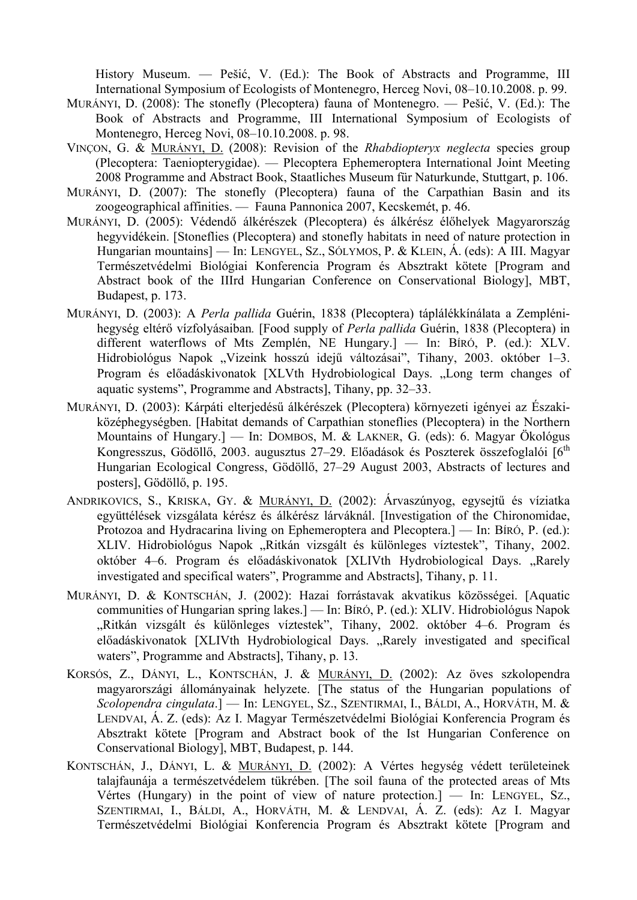History Museum. — Pešić, V. (Ed.): The Book of Abstracts and Programme, III International Symposium of Ecologists of Montenegro, Herceg Novi, 08–10.10.2008. p. 99.

- MURÁNYI, D. (2008): The stonefly (Plecoptera) fauna of Montenegro. Pešić, V. (Ed.): The Book of Abstracts and Programme, III International Symposium of Ecologists of Montenegro, Herceg Novi, 08–10.10.2008. p. 98.
- VINÇON, G. & MURÁNYI, D. (2008): Revision of the *Rhabdiopteryx neglecta* species group (Plecoptera: Taeniopterygidae). — Plecoptera Ephemeroptera International Joint Meeting 2008 Programme and Abstract Book, Staatliches Museum für Naturkunde, Stuttgart, p. 106.
- MURÁNYI, D. (2007): The stonefly (Plecoptera) fauna of the Carpathian Basin and its zoogeographical affinities. — Fauna Pannonica 2007, Kecskemét, p. 46.
- MURÁNYI, D. (2005): Védendő álkérészek (Plecoptera) és álkérész élőhelyek Magyarország hegyvidékein. [Stoneflies (Plecoptera) and stonefly habitats in need of nature protection in Hungarian mountains] — In: LENGYEL, SZ., SÓLYMOS, P. & KLEIN, Á. (eds): A III. Magyar Természetvédelmi Biológiai Konferencia Program és Absztrakt kötete [Program and Abstract book of the IIIrd Hungarian Conference on Conservational Biology], MBT, Budapest, p. 173.
- MURÁNYI, D. (2003): A *Perla pallida* Guérin, 1838 (Plecoptera) táplálékkínálata a Zemplénihegység eltérő vízfolyásaiban*.* [Food supply of *Perla pallida* Guérin, 1838 (Plecoptera) in different waterflows of Mts Zemplén, NE Hungary.] — In: BÍRÓ, P. (ed.): XLV. Hidrobiológus Napok "Vizeink hosszú idejű változásai", Tihany, 2003. október 1-3. Program és előadáskivonatok [XLVth Hydrobiological Days. "Long term changes of aquatic systems", Programme and Abstracts, Tihany, pp. 32–33.
- MURÁNYI, D. (2003): Kárpáti elterjedésű álkérészek (Plecoptera) környezeti igényei az Északiközéphegységben. [Habitat demands of Carpathian stoneflies (Plecoptera) in the Northern Mountains of Hungary.] — In: DOMBOS, M. & LAKNER, G. (eds): 6. Magyar Ökológus Kongresszus, Gödöllő, 2003. augusztus 27–29. Előadások és Poszterek összefoglalói [6<sup>th</sup>] Hungarian Ecological Congress, Gödöllő, 27–29 August 2003, Abstracts of lectures and posters, Gödöllő, p. 195.
- ANDRIKOVICS, S., KRISKA, GY. & MURÁNYI, D. (2002): Árvaszúnyog, egysejtű és víziatka együttélések vizsgálata kérész és álkérész lárváknál. [Investigation of the Chironomidae, Protozoa and Hydracarina living on Ephemeroptera and Plecoptera.] — In: BÍRÓ, P. (ed.): XLIV. Hidrobiológus Napok "Ritkán vizsgált és különleges víztestek", Tihany, 2002. október 4–6. Program és előadáskivonatok [XLIVth Hydrobiological Days. "Rarely investigated and specifical waters", Programme and Abstracts], Tihany, p. 11.
- MURÁNYI, D. & KONTSCHÁN, J. (2002): Hazai forrástavak akvatikus közösségei. [Aquatic communities of Hungarian spring lakes.] — In: BÍRÓ, P. (ed.): XLIV. Hidrobiológus Napok "Ritkán vizsgált és különleges víztestek", Tihany, 2002. október 4–6. Program és előadáskivonatok [XLIVth Hydrobiological Days. "Rarely investigated and specifical waters", Programme and Abstracts], Tihany, p. 13.
- KORSÓS, Z., DÁNYI, L., KONTSCHÁN, J. & MURÁNYI, D. (2002): Az öves szkolopendra magyarországi állományainak helyzete. [The status of the Hungarian populations of *Scolopendra cingulata*.] — In: LENGYEL, SZ., SZENTIRMAI, I., BÁLDI, A., HORVÁTH, M. & LENDVAI, Á. Z. (eds): Az I. Magyar Természetvédelmi Biológiai Konferencia Program és Absztrakt kötete [Program and Abstract book of the Ist Hungarian Conference on Conservational Biology], MBT, Budapest, p. 144.
- KONTSCHÁN, J., DÁNYI, L. & MURÁNYI, D. (2002): A Vértes hegység védett területeinek talajfaunája a természetvédelem tükrében. [The soil fauna of the protected areas of Mts Vértes (Hungary) in the point of view of nature protection.] — In: LENGYEL, SZ., SZENTIRMAI, I., BÁLDI, A., HORVÁTH, M. & LENDVAI, Á. Z. (eds): Az I. Magyar Természetvédelmi Biológiai Konferencia Program és Absztrakt kötete [Program and